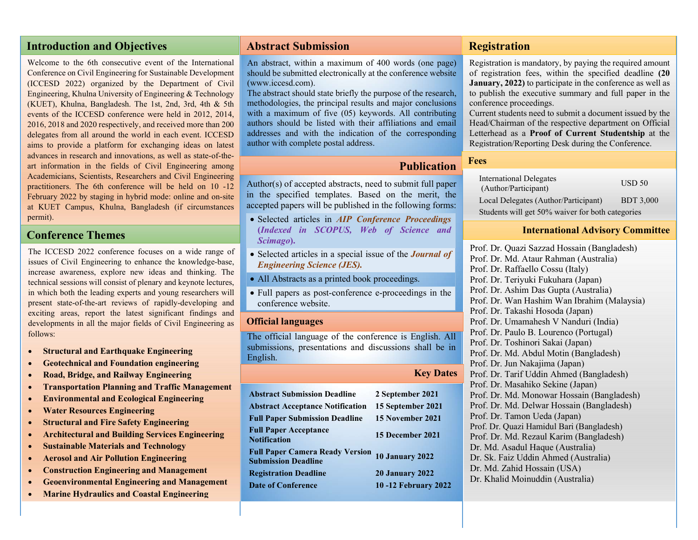# Introduction and Objectives

Welcome to the 6th consecutive event of the International Conference on Civil Engineering for Sustainable Development (ICCESD 2022) organized by the Department of Civil Engineering, Khulna University of Engineering & Technology (KUET), Khulna, Bangladesh. The 1st, 2nd, 3rd, 4th & 5th events of the ICCESD conference were held in 2012, 2014, 2016, 2018 and 2020 respectively, and received more than 200 delegates from all around the world in each event. ICCESD aims to provide a platform for exchanging ideas on latest advances in research and innovations, as well as state-of-theart information in the fields of Civil Engineering among Academicians, Scientists, Researchers and Civil Engineering practitioners. The 6th conference will be held on 10 -12 February 2022 by staging in hybrid mode: online and on-site at KUET Campus, Khulna, Bangladesh (if circumstances permit).

# Conference Themes

The ICCESD 2022 conference focuses on a wide range of issues of Civil Engineering to enhance the knowledge-base, increase awareness, explore new ideas and thinking. The technical sessions will consist of plenary and keynote lectures, in which both the leading experts and young researchers will present state-of-the-art reviews of rapidly-developing and exciting areas, report the latest significant findings and developments in all the major fields of Civil Engineering as follows:

- Structural and Earthquake Engineering
- Geotechnical and Foundation engineering
- Road, Bridge, and Railway Engineering
- Transportation Planning and Traffic Management
- Environmental and Ecological Engineering
- Water Resources Engineering
- Structural and Fire Safety Engineering
- Architectural and Building Services Engineering
- Sustainable Materials and Technology
- Aerosol and Air Pollution Engineering
- Construction Engineering and Management
- Geoenvironmental Engineering and Management
- Marine Hydraulics and Coastal Engineering

## Abstract Submission

An abstract, within a maximum of 400 words (one page) should be submitted electronically at the conference website (www.iccesd.com).

The abstract should state briefly the purpose of the research, methodologies, the principal results and major conclusions with a maximum of five (05) keywords. All contributing authors should be listed with their affiliations and email addresses and with the indication of the corresponding author with complete postal address.

## **Publication**

Author(s) of accepted abstracts, need to submit full paper in the specified templates. Based on the merit, the accepted papers will be published in the following forms:

- Selected articles in *AIP Conference Proceedings* (Indexed in SCOPUS, Web of Science and Scimago).
- Selected articles in a special issue of the **Journal of** Engineering Science (JES).
- All Abstracts as a printed book proceedings.
- Full papers as post-conference e-proceedings in the conference website.

#### Official languages

The official language of the conference is English. All submissions, presentations and discussions shall be in English.

|                                                                      | <b>Key Dates</b>           |
|----------------------------------------------------------------------|----------------------------|
| <b>Abstract Submission Deadline</b>                                  | 2 September 2021           |
| <b>Abstract Acceptance Notification</b>                              | 15 September 2021          |
| <b>Full Paper Submission Deadline</b>                                | 15 November 2021           |
| <b>Full Paper Acceptance</b><br><b>Notification</b>                  | 15 December 2021           |
| <b>Full Paper Camera Ready Version</b><br><b>Submission Deadline</b> | <b>10 January 2022</b>     |
| <b>Registration Deadline</b>                                         | <b>20 January 2022</b>     |
| <b>Date of Conference</b>                                            | <b>10-12 February 2022</b> |

### Registration

Registration is mandatory, by paying the required amount of registration fees, within the specified deadline (20 January, 2022) to participate in the conference as well as to publish the executive summary and full paper in the conference proceedings.

Current students need to submit a document issued by the Head/Chairman of the respective department on Official Letterhead as a Proof of Current Studentship at the Registration/Reporting Desk during the Conference.

#### Fees

| <b>International Delegates</b><br>(Author/Participant) | USD <sub>50</sub> |
|--------------------------------------------------------|-------------------|
| Local Delegates (Author/Participant)                   | <b>BDT 3.000</b>  |
| Students will get 50% waiver for both categories       |                   |

#### International Advisory Committee

Prof. Dr. Quazi Sazzad Hossain (Bangladesh) Prof. Dr. Md. Ataur Rahman (Australia) Prof. Dr. Raffaello Cossu (Italy) Prof. Dr. Teriyuki Fukuhara (Japan) Prof. Dr. Ashim Das Gupta (Australia) Prof. Dr. Wan Hashim Wan Ibrahim (Malaysia) Prof. Dr. Takashi Hosoda (Japan) Prof. Dr. Umamahesh V Nanduri (India) Prof. Dr. Paulo B. Lourenco (Portugal) Prof. Dr. Toshinori Sakai (Japan) Prof. Dr. Md. Abdul Motin (Bangladesh) Prof. Dr. Jun Nakajima (Japan) Prof. Dr. Tarif Uddin Ahmed (Bangladesh) Prof. Dr. Masahiko Sekine (Japan) Prof. Dr. Md. Monowar Hossain (Bangladesh) Prof. Dr. Md. Delwar Hossain (Bangladesh) Prof. Dr. Tamon Ueda (Japan) Prof. Dr. Quazi Hamidul Bari (Bangladesh) Prof. Dr. Md. Rezaul Karim (Bangladesh) Dr. Md. Asadul Haque (Australia) Dr. Sk. Faiz Uddin Ahmed (Australia) Dr. Md. Zahid Hossain (USA) Dr. Khalid Moinuddin (Australia)